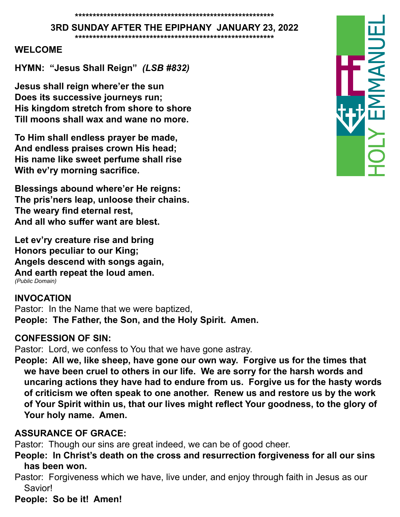**3RD SUNDAY AFTER THE EPIPHANY JANUARY 23, 2022**

**\*\*\*\*\*\*\*\*\*\*\*\*\*\*\*\*\*\*\*\*\*\*\*\*\*\*\*\*\*\*\*\*\*\*\*\*\*\*\*\*\*\*\*\*\*\*\*\*\*\*\*\*\*\*\*\***

#### **WELCOME**

**HYMN: "Jesus Shall Reign"** *(LSB #832)*

**Jesus shall reign where'er the sun Does its successive journeys run; His kingdom stretch from shore to shore Till moons shall wax and wane no more.**

**To Him shall endless prayer be made, And endless praises crown His head; His name like sweet perfume shall rise With ev'ry morning sacrifice.**

**Blessings abound where'er He reigns: The pris'ners leap, unloose their chains. The weary find eternal rest, And all who suffer want are blest.**

**Let ev'ry creature rise and bring Honors peculiar to our King; Angels descend with songs again, And earth repeat the loud amen.**  *(Public Domain)*

### **INVOCATION**

Pastor: In the Name that we were baptized, **People: The Father, the Son, and the Holy Spirit. Amen.**

### **CONFESSION OF SIN:**

Pastor: Lord, we confess to You that we have gone astray.

**People: All we, like sheep, have gone our own way. Forgive us for the times that we have been cruel to others in our life. We are sorry for the harsh words and uncaring actions they have had to endure from us. Forgive us for the hasty words of criticism we often speak to one another. Renew us and restore us by the work of Your Spirit within us, that our lives might reflect Your goodness, to the glory of Your holy name. Amen.** 

### **ASSURANCE OF GRACE:**

Pastor: Though our sins are great indeed, we can be of good cheer.

- **People: In Christ's death on the cross and resurrection forgiveness for all our sins has been won.**
- Pastor: Forgiveness which we have, live under, and enjoy through faith in Jesus as our Savior!

### **People: So be it! Amen!**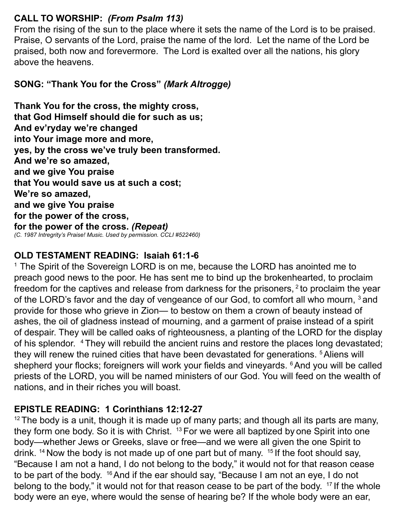## **CALL TO WORSHIP:** *(From Psalm 113)*

From the rising of the sun to the place where it sets the name of the Lord is to be praised. Praise, O servants of the Lord, praise the name of the lord. Let the name of the Lord be praised, both now and forevermore. The Lord is exalted over all the nations, his glory above the heavens.

## **SONG: "Thank You for the Cross"** *(Mark Altrogge)*

**Thank You for the cross, the mighty cross, that God Himself should die for such as us; And ev'ryday we're changed into Your image more and more, yes, by the cross we've truly been transformed. And we're so amazed, and we give You praise that You would save us at such a cost; We're so amazed, and we give You praise for the power of the cross, for the power of the cross.** *(Repeat) (C. 1987 Intregrity's Praise! Music. Used by permission. CCLI #522460)*

## **OLD TESTAMENT READING: Isaiah 61:1-6**

<sup>1</sup> The Spirit of the Sovereign LORD is on me, because the LORD has anointed me to preach good news to the poor. He has sent me to bind up the brokenhearted, to proclaim freedom for the captives and release from darkness for the prisoners,  $2$  to proclaim the year of the LORD's favor and the day of vengeance of our God, to comfort all who mourn, 3 and provide for those who grieve in Zion— to bestow on them a crown of beauty instead of ashes, the oil of gladness instead of mourning, and a garment of praise instead of a spirit of despair. They will be called oaks of righteousness, a planting of the LORD for the display of his splendor. <sup>4</sup> They will rebuild the ancient ruins and restore the places long devastated; they will renew the ruined cities that have been devastated for generations. <sup>5</sup> Aliens will shepherd your flocks; foreigners will work your fields and vineyards. <sup>6</sup> And you will be called priests of the LORD, you will be named ministers of our God. You will feed on the wealth of nations, and in their riches you will boast.

# **EPISTLE READING: 1 Corinthians 12:12-27**

 $12$  The body is a unit, though it is made up of many parts; and though all its parts are many, they form one body. So it is with Christ. <sup>13</sup> For we were all baptized by one Spirit into one body—whether Jews or Greeks, slave or free—and we were all given the one Spirit to drink. <sup>14</sup> Now the body is not made up of one part but of many. <sup>15</sup> If the foot should say, "Because I am not a hand, I do not belong to the body," it would not for that reason cease to be part of the body. <sup>16</sup> And if the ear should say, "Because I am not an eye, I do not belong to the body," it would not for that reason cease to be part of the body. <sup>17</sup> If the whole body were an eye, where would the sense of hearing be? If the whole body were an ear,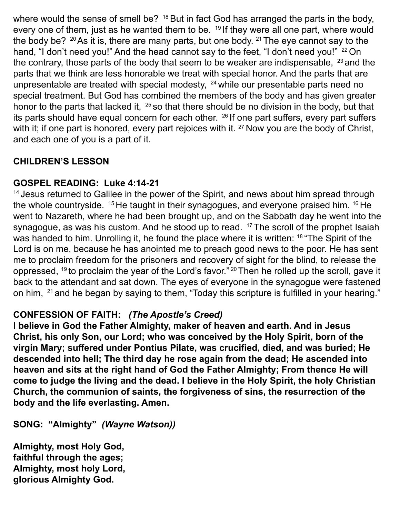where would the sense of smell be? <sup>18</sup> But in fact God has arranged the parts in the body, every one of them, just as he wanted them to be. <sup>19</sup> If they were all one part, where would the body be?  $20$  As it is, there are many parts, but one body.  $21$  The eye cannot say to the hand, "I don't need you!" And the head cannot say to the feet, "I don't need you!" <sup>22</sup> On the contrary, those parts of the body that seem to be weaker are indispensable,  $23$  and the parts that we think are less honorable we treat with special honor. And the parts that are unpresentable are treated with special modesty, <sup>24</sup> while our presentable parts need no special treatment. But God has combined the members of the body and has given greater honor to the parts that lacked it,  $25$  so that there should be no division in the body, but that its parts should have equal concern for each other.  $26$  If one part suffers, every part suffers with it; if one part is honored, every part rejoices with it.  $27$  Now you are the body of Christ, and each one of you is a part of it.

# **CHILDREN'S LESSON**

# **GOSPEL READING: Luke 4:14-21**

<sup>14</sup> Jesus returned to Galilee in the power of the Spirit, and news about him spread through the whole countryside.  $15$  He taught in their synagogues, and everyone praised him.  $16$  He went to Nazareth, where he had been brought up, and on the Sabbath day he went into the synagogue, as was his custom. And he stood up to read. <sup>17</sup> The scroll of the prophet Isaiah was handed to him. Unrolling it, he found the place where it is written: <sup>18</sup> "The Spirit of the Lord is on me, because he has anointed me to preach good news to the poor. He has sent me to proclaim freedom for the prisoners and recovery of sight for the blind, to release the oppressed, <sup>19</sup> to proclaim the year of the Lord's favor."<sup>20</sup> Then he rolled up the scroll, gave it back to the attendant and sat down. The eyes of everyone in the synagogue were fastened on him, <sup>21</sup> and he began by saying to them, "Today this scripture is fulfilled in your hearing."

# **CONFESSION OF FAITH:** *(The Apostle's Creed)*

**I believe in God the Father Almighty, maker of heaven and earth. And in Jesus Christ, his only Son, our Lord; who was conceived by the Holy Spirit, born of the virgin Mary; suffered under Pontius Pilate, was crucified, died, and was buried; He descended into hell; The third day he rose again from the dead; He ascended into heaven and sits at the right hand of God the Father Almighty; From thence He will come to judge the living and the dead. I believe in the Holy Spirit, the holy Christian Church, the communion of saints, the forgiveness of sins, the resurrection of the body and the life everlasting. Amen.** 

**SONG: "Almighty"** *(Wayne Watson))*

**Almighty, most Holy God, faithful through the ages; Almighty, most holy Lord, glorious Almighty God.**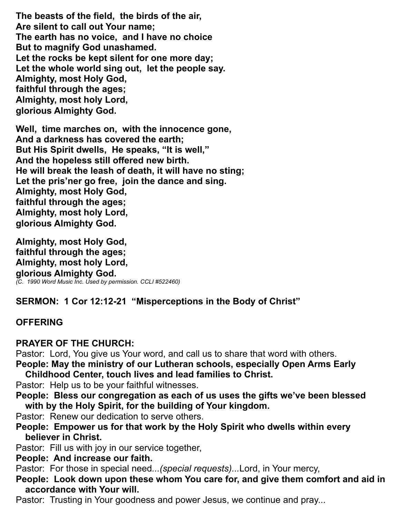**The beasts of the field, the birds of the air, Are silent to call out Your name; The earth has no voice, and I have no choice But to magnify God unashamed. Let the rocks be kept silent for one more day; Let the whole world sing out, let the people say. Almighty, most Holy God, faithful through the ages; Almighty, most holy Lord, glorious Almighty God.**

**Well, time marches on, with the innocence gone, And a darkness has covered the earth; But His Spirit dwells, He speaks, "It is well," And the hopeless still offered new birth. He will break the leash of death, it will have no sting; Let the pris'ner go free, join the dance and sing. Almighty, most Holy God, faithful through the ages; Almighty, most holy Lord, glorious Almighty God.**

**Almighty, most Holy God, faithful through the ages; Almighty, most holy Lord, glorious Almighty God.** *(C. 1990 Word Music Inc. Used by permission. CCLI #522460)*

**SERMON: 1 Cor 12:12-21 "Misperceptions in the Body of Christ"**

# **OFFERING**

## **PRAYER OF THE CHURCH:**

Pastor: Lord, You give us Your word, and call us to share that word with others. **People: May the ministry of our Lutheran schools, especially Open Arms Early** 

**Childhood Center, touch lives and lead families to Christ.**

Pastor: Help us to be your faithful witnesses.

**People: Bless our congregation as each of us uses the gifts we've been blessed with by the Holy Spirit, for the building of Your kingdom.**

Pastor: Renew our dedication to serve others.

**People: Empower us for that work by the Holy Spirit who dwells within every believer in Christ.** 

Pastor: Fill us with joy in our service together,

**People: And increase our faith.**

Pastor: For those in special need*...(special requests)...*Lord, in Your mercy,

**People: Look down upon these whom You care for, and give them comfort and aid in accordance with Your will.**

Pastor: Trusting in Your goodness and power Jesus, we continue and pray...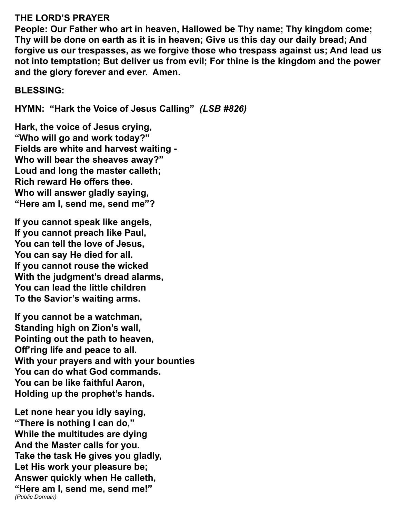### **THE LORD'S PRAYER**

**People: Our Father who art in heaven, Hallowed be Thy name; Thy kingdom come; Thy will be done on earth as it is in heaven; Give us this day our daily bread; And forgive us our trespasses, as we forgive those who trespass against us; And lead us not into temptation; But deliver us from evil; For thine is the kingdom and the power and the glory forever and ever. Amen.** 

**BLESSING:**

**HYMN: "Hark the Voice of Jesus Calling"** *(LSB #826)*

**Hark, the voice of Jesus crying, "Who will go and work today?" Fields are white and harvest waiting - Who will bear the sheaves away?" Loud and long the master calleth; Rich reward He offers thee. Who will answer gladly saying, "Here am I, send me, send me"?**

**If you cannot speak like angels, If you cannot preach like Paul, You can tell the love of Jesus, You can say He died for all. If you cannot rouse the wicked With the judgment's dread alarms, You can lead the little children To the Savior's waiting arms.**

**If you cannot be a watchman, Standing high on Zion's wall, Pointing out the path to heaven, Off'ring life and peace to all. With your prayers and with your bounties You can do what God commands. You can be like faithful Aaron, Holding up the prophet's hands.**

**Let none hear you idly saying, "There is nothing I can do," While the multitudes are dying And the Master calls for you. Take the task He gives you gladly, Let His work your pleasure be; Answer quickly when He calleth, "Here am I, send me, send me!"** *(Public Domain)*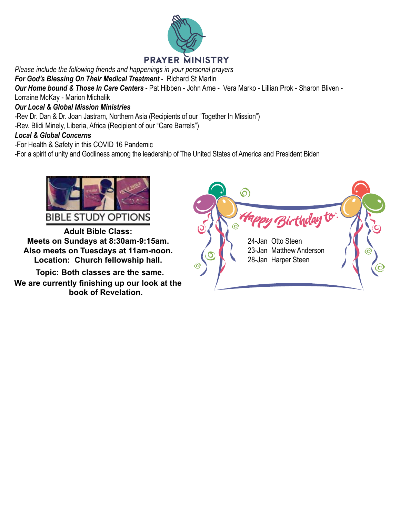

## **PRAYER MINISTRY**

*Please include the following friends and happenings in your personal prayers*

*For God's Blessing On Their Medical Treatment* - Richard St Martin

*Our Home bound & Those In Care Centers* - Pat Hibben - John Arne - Vera Marko - Lillian Prok - Sharon Bliven - Lorraine McKay - Marion Michalik

## *Our Local & Global Mission Ministries*

-Rev Dr. Dan & Dr. Joan Jastram, Northern Asia (Recipients of our "Together In Mission")

-Rev. Blidi Minely, Liberia, Africa (Recipient of our "Care Barrels")

#### *Local & Global Concerns*

-For Health & Safety in this COVID 16 Pandemic

-For a spirit of unity and Godliness among the leadership of The United States of America and President Biden



**Adult Bible Class: Meets on Sundays at 8:30am-9:15am. Meets on Sundays at 8:30am-9:15am. Also meets on Tuesdays at 11am-noon. Also meets on Tuesdays at 11am-noon. Location: Church fellowship hall. Location: Church fellowship hall. Alex meets on Junuays at 0.0000011**w meets on Tuesuays at Train-noon.<br>Leecties - Church fellowship hell **LUCATION.** UNDER FRIUWSHIP HAIR. **Meets on Sundays at 8:30am-9:15am. LUCATION.** CHUICH

Topic: Both classes are the same.  $\overline{\phantom{a}}$ We are currently finishing up our look at the  $\sqrt{2\pi\hbar\omega_0^2}$ **book of Revelation.**

 $\odot$ Ppy Birthday to **Adult Bible Class:** 24-Jan Otto Steen 23-Jan Matthew Anderson 28-Jan Harper Steen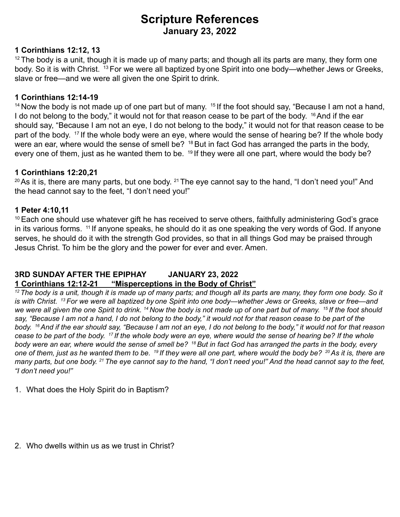# **Scripture References January 23, 2022**

#### **1 Corinthians 12:12, 13**

 $12$  The body is a unit, though it is made up of many parts; and though all its parts are many, they form one body. So it is with Christ. <sup>13</sup> For we were all baptized by one Spirit into one body—whether Jews or Greeks, slave or free—and we were all given the one Spirit to drink.

#### **1 Corinthians 12:14-19**

<sup>14</sup> Now the body is not made up of one part but of many. <sup>15</sup> If the foot should say, "Because I am not a hand, I do not belong to the body," it would not for that reason cease to be part of the body. <sup>16</sup> And if the ear should say, "Because I am not an eye, I do not belong to the body," it would not for that reason cease to be part of the body. <sup>17</sup> If the whole body were an eye, where would the sense of hearing be? If the whole body were an ear, where would the sense of smell be? <sup>18</sup> But in fact God has arranged the parts in the body, every one of them, just as he wanted them to be.  $19$  If they were all one part, where would the body be?

#### **1 Corinthians 12:20,21**

 $20$  As it is, there are many parts, but one body.  $21$  The eye cannot say to the hand, "I don't need you!" And the head cannot say to the feet, "I don't need you!"

#### **1 Peter 4:10,11**

<sup>10</sup> Each one should use whatever gift he has received to serve others, faithfully administering God's grace in its various forms. <sup>11</sup> If anyone speaks, he should do it as one speaking the very words of God. If anyone serves, he should do it with the strength God provides, so that in all things God may be praised through Jesus Christ. To him be the glory and the power for ever and ever. Amen.

#### **3RD SUNDAY AFTER THE EPIPHAY JANUARY 23, 2022 1 Corinthians 12:12-21 "Misperceptions in the Body of Christ"**

*12 The body is a unit, though it is made up of many parts; and though all its parts are many, they form one body. So it is with Christ. 13 For we were all baptized by one Spirit into one body—whether Jews or Greeks, slave or free—and we were all given the one Spirit to drink. 14 Now the body is not made up of one part but of many. 15 If the foot should say, "Because I am not a hand, I do not belong to the body," it would not for that reason cease to be part of the body. 16 And if the ear should say, "Because I am not an eye, I do not belong to the body," it would not for that reason cease to be part of the body. 17 If the whole body were an eye, where would the sense of hearing be? If the whole body were an ear, where would the sense of smell be? 18 But in fact God has arranged the parts in the body, every one of them, just as he wanted them to be. 19 If they were all one part, where would the body be? 20 As it is, there are many parts, but one body. 21 The eye cannot say to the hand, "I don't need you!" And the head cannot say to the feet, "I don't need you!"* 

- 1. What does the Holy Spirit do in Baptism?
- 2. Who dwells within us as we trust in Christ?